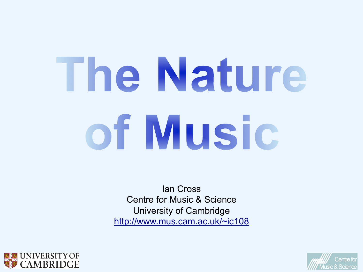# The Nature of Music

Ian Cross Centre for Music & Science University of Cambridge http://www.mus.cam.ac.uk/~ic108



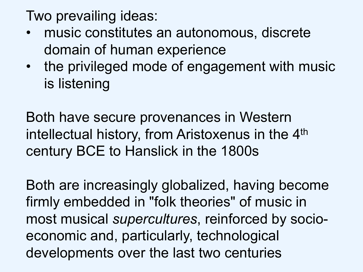Two prevailing ideas:

- music constitutes an autonomous, discrete domain of human experience
- the privileged mode of engagement with music is listening

Both have secure provenances in Western intellectual history, from Aristoxenus in the 4<sup>th</sup> century BCE to Hanslick in the 1800s

Both are increasingly globalized, having become firmly embedded in "folk theories" of music in most musical *supercultures*, reinforced by socioeconomic and, particularly, technological developments over the last two centuries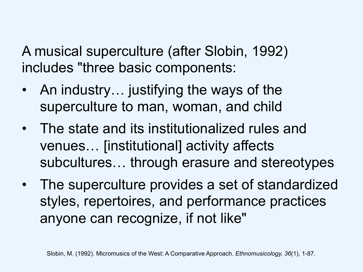A musical superculture (after Slobin, 1992) includes "three basic components:

- An industry... justifying the ways of the superculture to man, woman, and child
- The state and its institutionalized rules and venues… [institutional] activity affects subcultures… through erasure and stereotypes
- The superculture provides a set of standardized styles, repertoires, and performance practices anyone can recognize, if not like"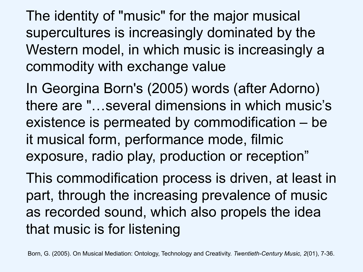The identity of "music" for the major musical supercultures is increasingly dominated by the Western model, in which music is increasingly a commodity with exchange value

In Georgina Born's (2005) words (after Adorno) there are "…several dimensions in which music's existence is permeated by commodification – be it musical form, performance mode, filmic exposure, radio play, production or reception"

This commodification process is driven, at least in part, through the increasing prevalence of music as recorded sound, which also propels the idea that music is for listening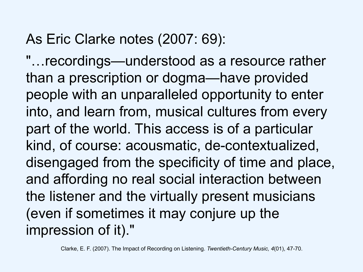#### As Eric Clarke notes (2007: 69):

"…recordings—understood as a resource rather than a prescription or dogma—have provided people with an unparalleled opportunity to enter into, and learn from, musical cultures from every part of the world. This access is of a particular kind, of course: acousmatic, de-contextualized, disengaged from the specificity of time and place, and affording no real social interaction between the listener and the virtually present musicians (even if sometimes it may conjure up the impression of it)."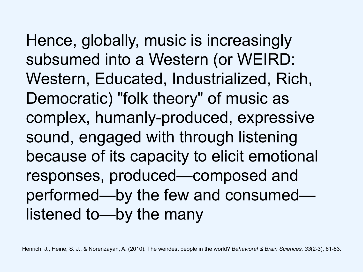Hence, globally, music is increasingly subsumed into a Western (or WEIRD: Western, Educated, Industrialized, Rich, Democratic) "folk theory" of music as complex, humanly-produced, expressive sound, engaged with through listening because of its capacity to elicit emotional responses, produced—composed and performed—by the few and consumed listened to—by the many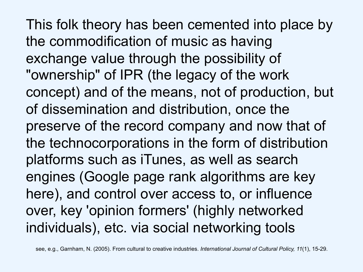This folk theory has been cemented into place by the commodification of music as having exchange value through the possibility of "ownership" of IPR (the legacy of the work concept) and of the means, not of production, but of dissemination and distribution, once the preserve of the record company and now that of the technocorporations in the form of distribution platforms such as iTunes, as well as search engines (Google page rank algorithms are key here), and control over access to, or influence over, key 'opinion formers' (highly networked individuals), etc. via social networking tools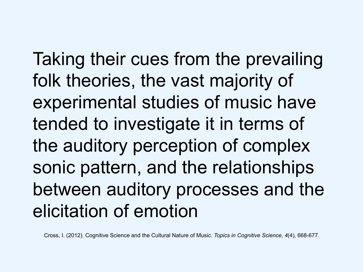Taking their cues from the prevailing folk theories, the vast majority of experimental studies of music have tended to investigate it in terms of the auditory perception of complex sonic pattern, and the relationships between auditory processes and the elicitation of emotion

Cross, I. (2012). Cognitive Science and the Cultural Nature of Music. *Topics in Cognitive Science, 4*(4), 668-677.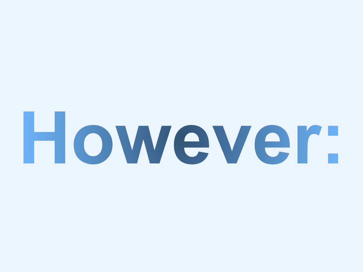# However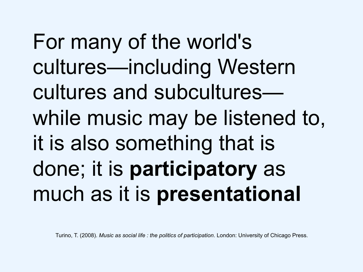For many of the world's cultures—including Western cultures and subcultures while music may be listened to, it is also something that is done; it is **participatory** as much as it is **presentational**

Turino, T. (2008). *Music as social life : the politics of participation*. London: University of Chicago Press.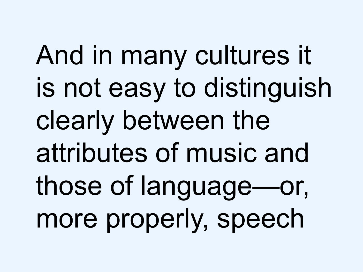And in many cultures it is not easy to distinguish clearly between the attributes of music and those of language—or, more properly, speech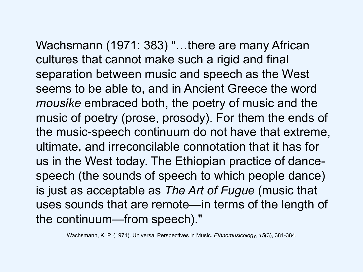Wachsmann (1971: 383) "…there are many African cultures that cannot make such a rigid and final separation between music and speech as the West seems to be able to, and in Ancient Greece the word *mousike* embraced both, the poetry of music and the music of poetry (prose, prosody). For them the ends of the music-speech continuum do not have that extreme, ultimate, and irreconcilable connotation that it has for us in the West today. The Ethiopian practice of dancespeech (the sounds of speech to which people dance) is just as acceptable as *The Art of Fugue* (music that uses sounds that are remote—in terms of the length of the continuum—from speech)."

Wachsmann, K. P. (1971). Universal Perspectives in Music. *Ethnomusicology, 15*(3), 381-384.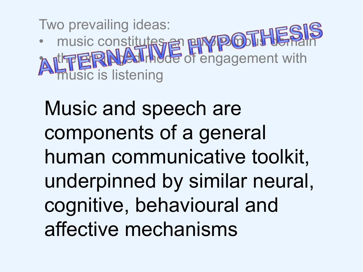Two prevailing ideas: • music constitutes an envirop oblition and **A nthe PRINCE of engagement with** sic is listening

Music and speech are components of a general human communicative toolkit, underpinned by similar neural, cognitive, behavioural and affective mechanisms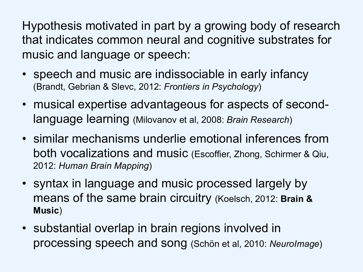Hypothesis motivated in part by a growing body of research that indicates common neural and cognitive substrates for music and language or speech:

- speech and music are indissociable in early infancy (Brandt, Gebrian & Slevc, 2012: *Frontiers in Psychology*)
- musical expertise advantageous for aspects of secondlanguage learning (Milovanov et al, 2008: *Brain Research*)
- similar mechanisms underlie emotional inferences from both vocalizations and music (Escoffier, Zhong, Schirmer & Qiu, 2012: *Human Brain Mapping*)
- syntax in language and music processed largely by means of the same brain circuitry (Koelsch, 2012: **Brain & Music**)
- substantial overlap in brain regions involved in processing speech and song (Schön et al, 2010: *NeuroImage*)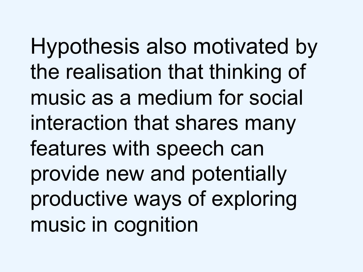Hypothesis also motivated by the realisation that thinking of music as a medium for social interaction that shares many features with speech can provide new and potentially productive ways of exploring music in cognition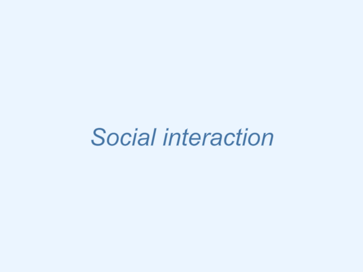# **Social interaction**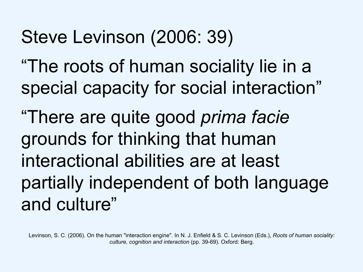#### Steve Levinson (2006: 39)

"The roots of human sociality lie in a special capacity for social interaction"

"There are quite good *prima facie* grounds for thinking that human interactional abilities are at least partially independent of both language and culture"

Levinson, S. C. (2006). On the human "interaction engine". In N. J. Enfield & S. C. Levinson (Eds.), *Roots of human sociality: culture, cognition and interaction* (pp. 39-69). Oxford: Berg.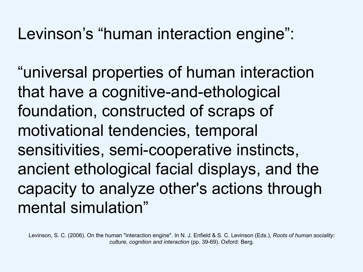#### Levinson's "human interaction engine":

"universal properties of human interaction that have a cognitive-and-ethological foundation, constructed of scraps of motivational tendencies, temporal sensitivities, semi-cooperative instincts, ancient ethological facial displays, and the capacity to analyze other's actions through mental simulation"

Levinson, S. C. (2006). On the human "interaction engine". In N. J. Enfield & S. C. Levinson (Eds.), *Roots of human sociality: culture, cognition and interaction* (pp. 39-69). Oxford: Berg.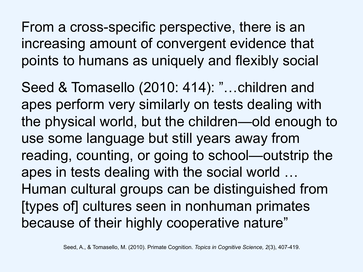From a cross-specific perspective, there is an increasing amount of convergent evidence that points to humans as uniquely and flexibly social

Seed & Tomasello (2010: 414): "…children and apes perform very similarly on tests dealing with the physical world, but the children—old enough to use some language but still years away from reading, counting, or going to school—outstrip the apes in tests dealing with the social world … Human cultural groups can be distinguished from [types of] cultures seen in nonhuman primates because of their highly cooperative nature"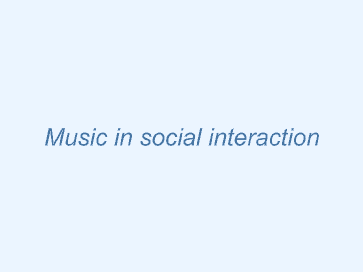# **Music in social interaction**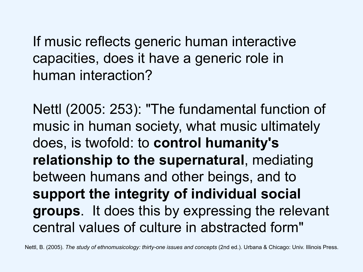If music reflects generic human interactive capacities, does it have a generic role in human interaction?

Nettl (2005: 253): "The fundamental function of music in human society, what music ultimately does, is twofold: to **control humanity's relationship to the supernatural**, mediating between humans and other beings, and to **support the integrity of individual social groups**. It does this by expressing the relevant central values of culture in abstracted form"

Nettl, B. (2005). *The study of ethnomusicology: thirty-one issues and concepts* (2nd ed.). Urbana & Chicago: Univ. Illinois Press.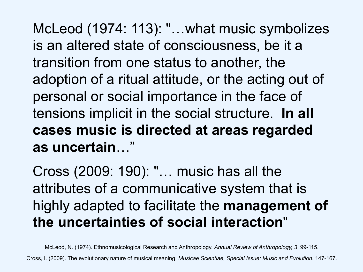McLeod (1974: 113): "…what music symbolizes is an altered state of consciousness, be it a transition from one status to another, the adoption of a ritual attitude, or the acting out of personal or social importance in the face of tensions implicit in the social structure. **In all cases music is directed at areas regarded as uncertain**…"

Cross (2009: 190): "… music has all the attributes of a communicative system that is highly adapted to facilitate the **management of the uncertainties of social interaction**"

McLeod, N. (1974). Ethnomusicological Research and Anthropology. *Annual Review of Anthropology, 3*, 99-115.

Cross, I. (2009). The evolutionary nature of musical meaning. *Musicae Scientiae, Special Issue: Music and Evolution*, 147-167.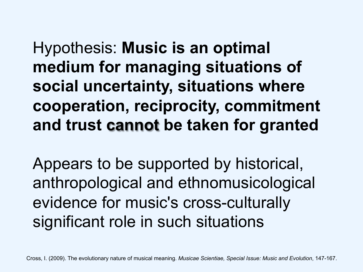Hypothesis: **Music is an optimal medium for managing situations of social uncertainty, situations where cooperation, reciprocity, commitment and trust cannot be taken for granted** 

Appears to be supported by historical, anthropological and ethnomusicological evidence for music's cross-culturally significant role in such situations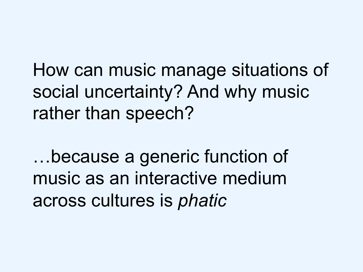How can music manage situations of social uncertainty? And why music rather than speech?

…because a generic function of music as an interactive medium across cultures is *phatic*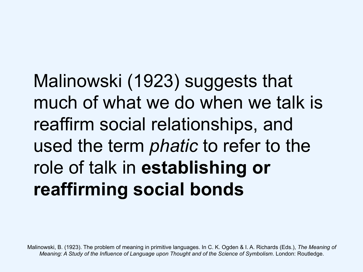Malinowski (1923) suggests that much of what we do when we talk is reaffirm social relationships, and used the term *phatic* to refer to the role of talk in **establishing or reaffirming social bonds**

Malinowski, B. (1923). The problem of meaning in primitive languages. In C. K. Ogden & I. A. Richards (Eds.), *The Meaning of Meaning: A Study of the Influence of Language upon Thought and of the Science of Symbolism*. London: Routledge.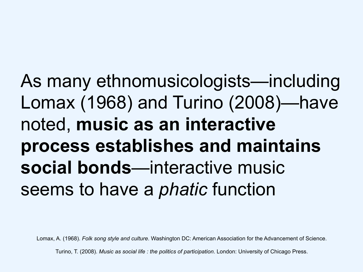As many ethnomusicologists—including Lomax (1968) and Turino (2008)—have noted, **music as an interactive process establishes and maintains social bonds**—interactive music seems to have a *phatic* function

Lomax, A. (1968). *Folk song style and culture*. Washington DC: American Association for the Advancement of Science.

Turino, T. (2008). *Music as social life : the politics of participation*. London: University of Chicago Press.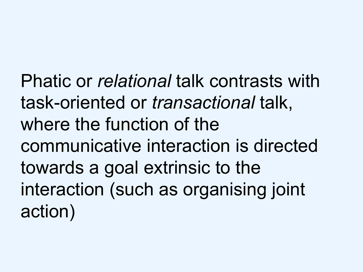Phatic or *relational* talk contrasts with task-oriented or *transactional* talk, where the function of the communicative interaction is directed towards a goal extrinsic to the interaction (such as organising joint action)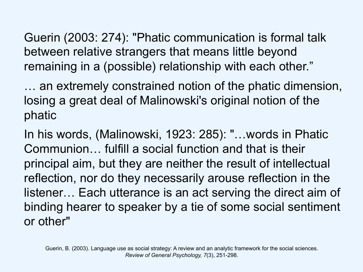Guerin (2003: 274): "Phatic communication is formal talk between relative strangers that means little beyond remaining in a (possible) relationship with each other."

… an extremely constrained notion of the phatic dimension, losing a great deal of Malinowski's original notion of the phatic

In his words, (Malinowski, 1923: 285): "…words in Phatic Communion… fulfill a social function and that is their principal aim, but they are neither the result of intellectual reflection, nor do they necessarily arouse reflection in the listener… Each utterance is an act serving the direct aim of binding hearer to speaker by a tie of some social sentiment or other"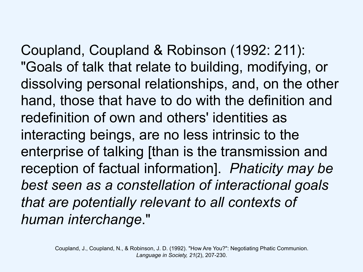Coupland, Coupland & Robinson (1992: 211):

"Goals of talk that relate to building, modifying, or dissolving personal relationships, and, on the other hand, those that have to do with the definition and redefinition of own and others' identities as interacting beings, are no less intrinsic to the enterprise of talking [than is the transmission and reception of factual information]. *Phaticity may be best seen as a constellation of interactional goals that are potentially relevant to all contexts of human interchange*."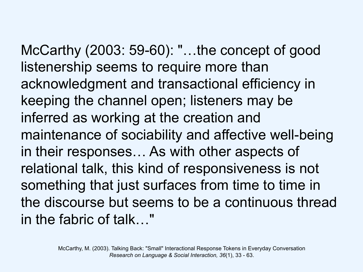McCarthy (2003: 59-60): "…the concept of good listenership seems to require more than acknowledgment and transactional efficiency in keeping the channel open; listeners may be inferred as working at the creation and maintenance of sociability and affective well-being in their responses… As with other aspects of relational talk, this kind of responsiveness is not something that just surfaces from time to time in the discourse but seems to be a continuous thread in the fabric of talk…"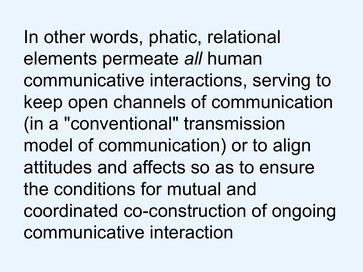In other words, phatic, relational elements permeate *all* human communicative interactions, serving to keep open channels of communication (in a "conventional" transmission model of communication) or to align attitudes and affects so as to ensure the conditions for mutual and coordinated co-construction of ongoing communicative interaction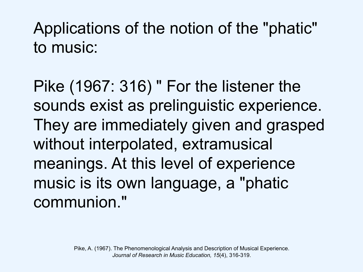Applications of the notion of the "phatic" to music:

Pike (1967: 316) " For the listener the sounds exist as prelinguistic experience. They are immediately given and grasped without interpolated, extramusical meanings. At this level of experience music is its own language, a "phatic communion."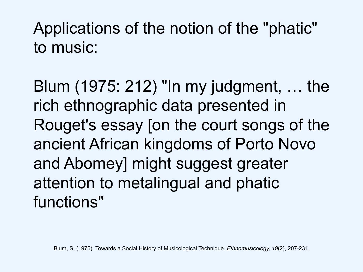Applications of the notion of the "phatic" to music:

Blum (1975: 212) "In my judgment, … the rich ethnographic data presented in Rouget's essay [on the court songs of the ancient African kingdoms of Porto Novo and Abomey] might suggest greater attention to metalingual and phatic functions"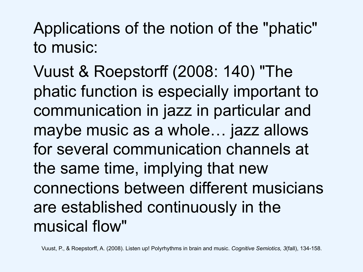Applications of the notion of the "phatic" to music:

Vuust & Roepstorff (2008: 140) "The phatic function is especially important to communication in jazz in particular and maybe music as a whole… jazz allows for several communication channels at the same time, implying that new connections between different musicians are established continuously in the musical flow"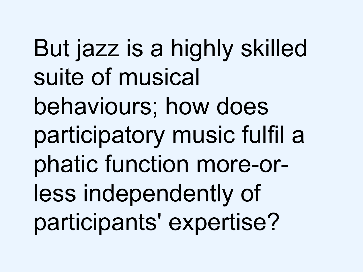But jazz is a highly skilled suite of musical behaviours; how does participatory music fulfil a phatic function more-orless independently of participants' expertise?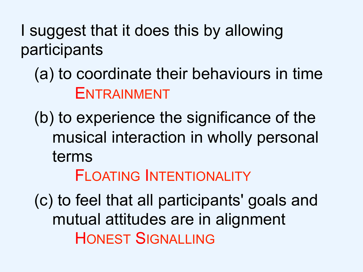I suggest that it does this by allowing participants

#### (a) to coordinate their behaviours in time ENTRAINMENT

(b) to experience the significance of the musical interaction in wholly personal terms

FLOATING INTENTIONALITY

(c) to feel that all participants' goals and mutual attitudes are in alignment HONEST SIGNALLING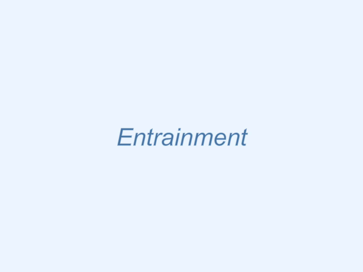# Entrainment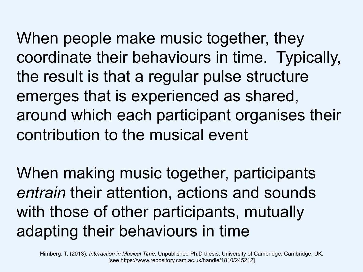When people make music together, they coordinate their behaviours in time. Typically, the result is that a regular pulse structure emerges that is experienced as shared, around which each participant organises their contribution to the musical event

When making music together, participants *entrain* their attention, actions and sounds with those of other participants, mutually adapting their behaviours in time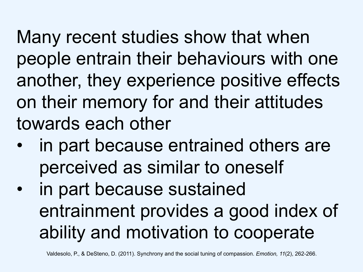Many recent studies show that when people entrain their behaviours with one another, they experience positive effects on their memory for and their attitudes towards each other

- in part because entrained others are perceived as similar to oneself
- in part because sustained entrainment provides a good index of ability and motivation to cooperate

Valdesolo, P., & DeSteno, D. (2011). Synchrony and the social tuning of compassion. *Emotion, 11*(2), 262-266.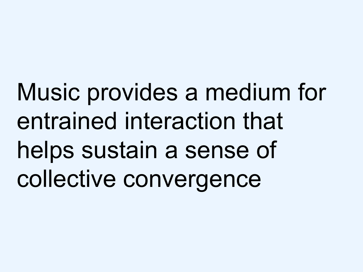Music provides a medium for entrained interaction that helps sustain a sense of collective convergence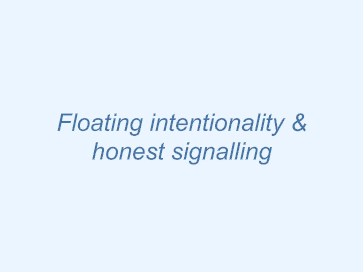**Floating intentionality &** honest signalling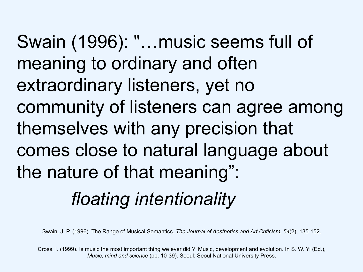Swain (1996): "…music seems full of meaning to ordinary and often extraordinary listeners, yet no community of listeners can agree among themselves with any precision that comes close to natural language about the nature of that meaning":

### *floating intentionality*

Swain, J. P. (1996). The Range of Musical Semantics. *The Journal of Aesthetics and Art Criticism, 54*(2), 135-152.

Cross, I. (1999). Is music the most important thing we ever did ? Music, development and evolution. In S. W. Yi (Ed.), *Music, mind and science* (pp. 10-39). Seoul: Seoul National University Press.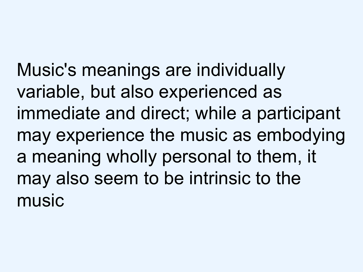Music's meanings are individually variable, but also experienced as immediate and direct; while a participant may experience the music as embodying a meaning wholly personal to them, it may also seem to be intrinsic to the music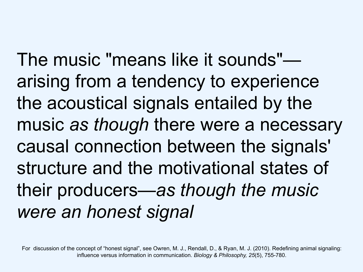The music "means like it sounds" arising from a tendency to experience the acoustical signals entailed by the music *as though* there were a necessary causal connection between the signals' structure and the motivational states of their producers—*as though the music were an honest signal*

For discussion of the concept of "honest signal", see Owren, M. J., Rendall, D., & Ryan, M. J. (2010). Redefining animal signaling: influence versus information in communication. *Biology & Philosophy, 25*(5), 755-780.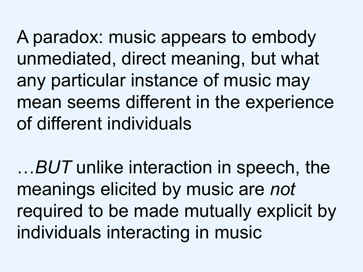A paradox: music appears to embody unmediated, direct meaning, but what any particular instance of music may mean seems different in the experience of different individuals

…*BUT* unlike interaction in speech, the meanings elicited by music are *not* required to be made mutually explicit by individuals interacting in music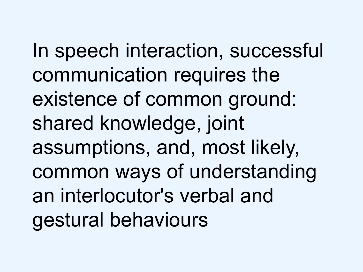In speech interaction, successful communication requires the existence of common ground: shared knowledge, joint assumptions, and, most likely, common ways of understanding an interlocutor's verbal and gestural behaviours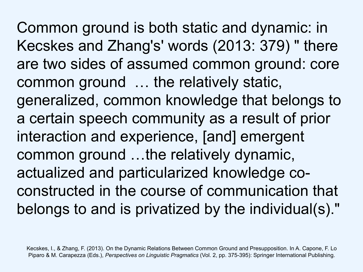Common ground is both static and dynamic: in Kecskes and Zhang's' words (2013: 379) " there are two sides of assumed common ground: core common ground … the relatively static, generalized, common knowledge that belongs to a certain speech community as a result of prior interaction and experience, [and] emergent common ground …the relatively dynamic, actualized and particularized knowledge coconstructed in the course of communication that belongs to and is privatized by the individual(s)."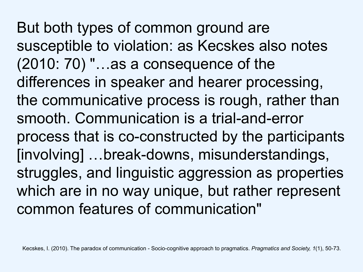But both types of common ground are susceptible to violation: as Kecskes also notes (2010: 70) "…as a consequence of the differences in speaker and hearer processing, the communicative process is rough, rather than smooth. Communication is a trial-and-error process that is co-constructed by the participants [involving] …break-downs, misunderstandings, struggles, and linguistic aggression as properties which are in no way unique, but rather represent common features of communication"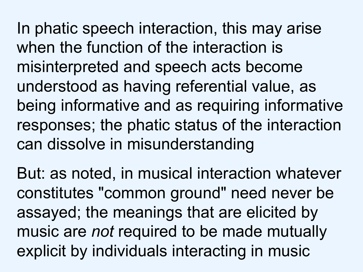In phatic speech interaction, this may arise when the function of the interaction is misinterpreted and speech acts become understood as having referential value, as being informative and as requiring informative responses; the phatic status of the interaction can dissolve in misunderstanding

But: as noted, in musical interaction whatever constitutes "common ground" need never be assayed; the meanings that are elicited by music are *not* required to be made mutually explicit by individuals interacting in music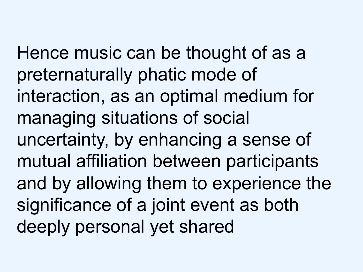Hence music can be thought of as a preternaturally phatic mode of interaction, as an optimal medium for managing situations of social uncertainty, by enhancing a sense of mutual affiliation between participants and by allowing them to experience the significance of a joint event as both deeply personal yet shared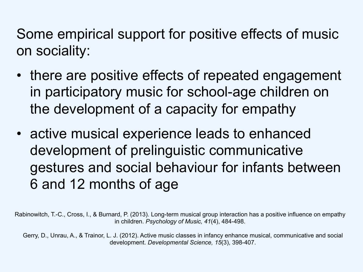Some empirical support for positive effects of music on sociality:

- there are positive effects of repeated engagement in participatory music for school-age children on the development of a capacity for empathy
- active musical experience leads to enhanced development of prelinguistic communicative gestures and social behaviour for infants between 6 and 12 months of age

Rabinowitch, T.-C., Cross, I., & Burnard, P. (2013). Long-term musical group interaction has a positive influence on empathy in children. *Psychology of Music, 41*(4), 484-498.

Gerry, D., Unrau, A., & Trainor, L. J. (2012). Active music classes in infancy enhance musical, communicative and social development. *Developmental Science, 15*(3), 398-407.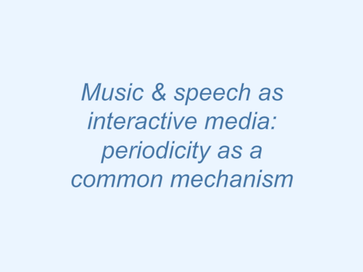Music & speech as interactive media: periodicity as a common mechanism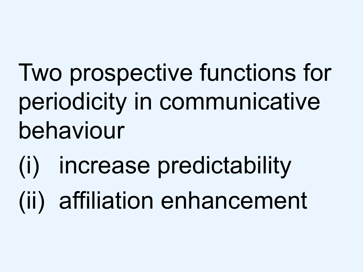Two prospective functions for periodicity in communicative behaviour

(i) increase predictability (ii) affiliation enhancement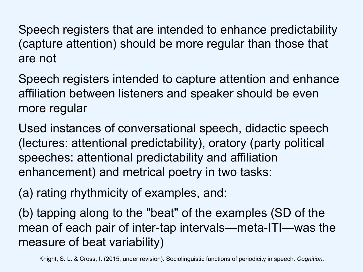Speech registers that are intended to enhance predictability (capture attention) should be more regular than those that are not

Speech registers intended to capture attention and enhance affiliation between listeners and speaker should be even more regular

Used instances of conversational speech, didactic speech (lectures: attentional predictability), oratory (party political speeches: attentional predictability and affiliation enhancement) and metrical poetry in two tasks:

(a) rating rhythmicity of examples, and:

(b) tapping along to the "beat" of the examples (SD of the mean of each pair of inter-tap intervals—meta-ITI—was the measure of beat variability)

Knight, S. L. & Cross, I. (2015, under revision). Sociolinguistic functions of periodicity in speech. *Cognition*.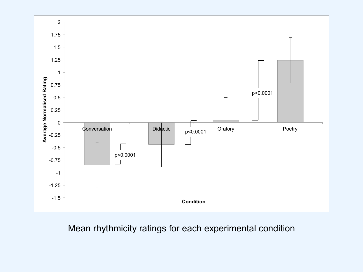

#### Mean rhythmicity ratings for each experimental condition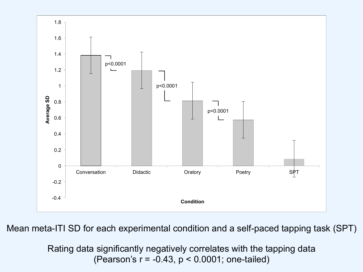

Mean meta-ITI SD for each experimental condition and a self-paced tapping task (SPT)

Rating data significantly negatively correlates with the tapping data (Pearson's r = -0.43, p < 0.0001; one-tailed)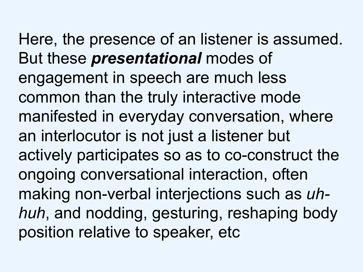Here, the presence of an listener is assumed. But these *presentational* modes of engagement in speech are much less common than the truly interactive mode manifested in everyday conversation, where an interlocutor is not just a listener but actively participates so as to co-construct the ongoing conversational interaction, often making non-verbal interjections such as *uhhuh*, and nodding, gesturing, reshaping body position relative to speaker, etc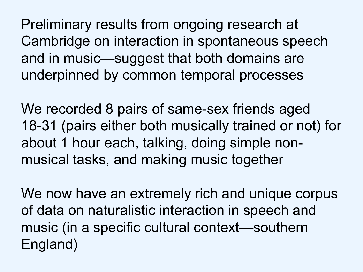Preliminary results from ongoing research at Cambridge on interaction in spontaneous speech and in music—suggest that both domains are underpinned by common temporal processes

We recorded 8 pairs of same-sex friends aged 18-31 (pairs either both musically trained or not) for about 1 hour each, talking, doing simple nonmusical tasks, and making music together

We now have an extremely rich and unique corpus of data on naturalistic interaction in speech and music (in a specific cultural context—southern England)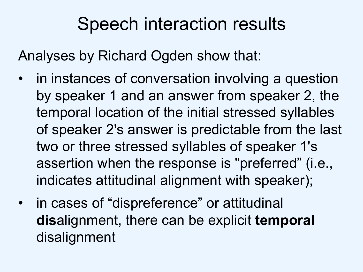### Speech interaction results

Analyses by Richard Ogden show that:

- in instances of conversation involving a question by speaker 1 and an answer from speaker 2, the temporal location of the initial stressed syllables of speaker 2's answer is predictable from the last two or three stressed syllables of speaker 1's assertion when the response is "preferred" (i.e., indicates attitudinal alignment with speaker);
- in cases of "dispreference" or attitudinal **dis**alignment, there can be explicit **temporal** disalignment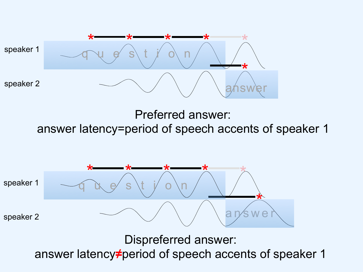

Preferred answer:

answer latency=period of speech accents of speaker 1



Dispreferred answer:

answer latency**≠**period of speech accents of speaker 1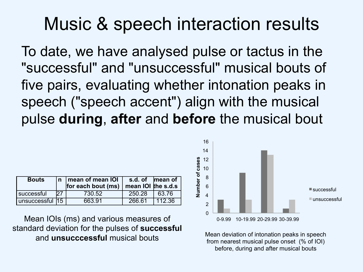#### Music & speech interaction results

To date, we have analysed pulse or tactus in the "successful" and "unsuccessful" musical bouts of five pairs, evaluating whether intonation peaks in speech ("speech accent") align with the musical pulse **during**, **after** and **before** the musical bout

| <b>Bouts</b>    |     | n   mean of mean IOI<br>for each bout (ms) | s.d. of mean of<br>mean IOI the s.d.s |          |
|-----------------|-----|--------------------------------------------|---------------------------------------|----------|
| successful      | D7. | 730.52                                     | 250.28                                | 63.76    |
| unsuccessful 15 |     | 663.91                                     | 266.61                                | l 112.36 |

Mean IOIs (ms) and various measures of standard deviation for the pulses of **successful** and **unsucccessful** musical bouts



Mean deviation of intonation peaks in speech from nearest musical pulse onset (% of IOI) before, during and after musical bouts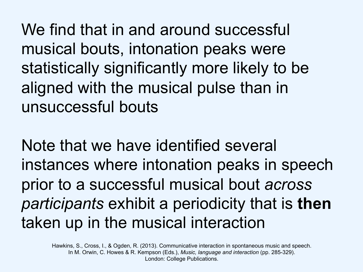We find that in and around successful musical bouts, intonation peaks were statistically significantly more likely to be aligned with the musical pulse than in unsuccessful bouts

Note that we have identified several instances where intonation peaks in speech prior to a successful musical bout *across participants* exhibit a periodicity that is **then** taken up in the musical interaction

Hawkins, S., Cross, I., & Ogden, R. (2013). Communicative interaction in spontaneous music and speech. In M. Orwin, C. Howes & R. Kempson (Eds.), *Music, language and interaction* (pp. 285-329). London: College Publications.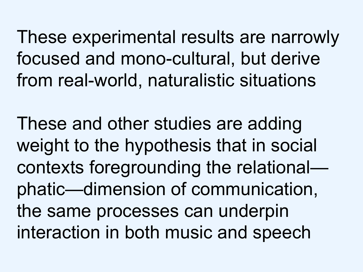These experimental results are narrowly focused and mono-cultural, but derive from real-world, naturalistic situations

These and other studies are adding weight to the hypothesis that in social contexts foregrounding the relational phatic—dimension of communication, the same processes can underpin interaction in both music and speech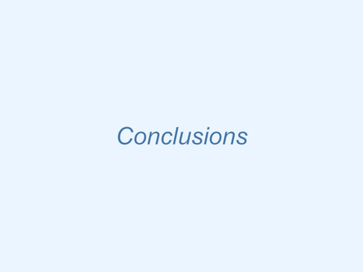# **Conclusions**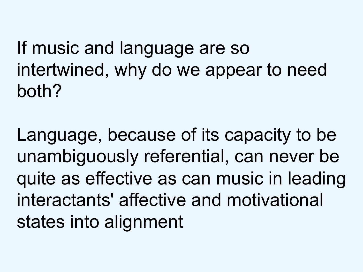If music and language are so intertwined, why do we appear to need both?

Language, because of its capacity to be unambiguously referential, can never be quite as effective as can music in leading interactants' affective and motivational states into alignment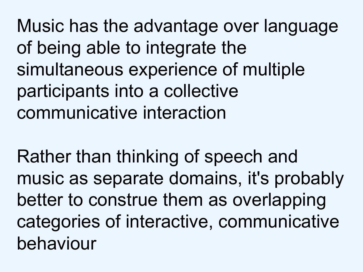Music has the advantage over language of being able to integrate the simultaneous experience of multiple participants into a collective communicative interaction

Rather than thinking of speech and music as separate domains, it's probably better to construe them as overlapping categories of interactive, communicative behaviour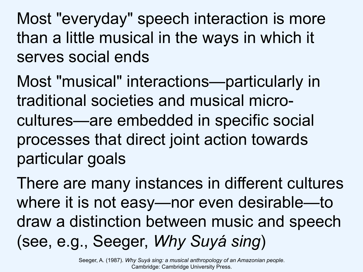Most "everyday" speech interaction is more than a little musical in the ways in which it serves social ends

Most "musical" interactions—particularly in traditional societies and musical microcultures—are embedded in specific social processes that direct joint action towards particular goals

There are many instances in different cultures where it is not easy—nor even desirable—to draw a distinction between music and speech (see, e.g., Seeger, *Why Suyá sing*)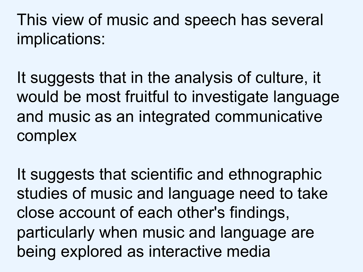This view of music and speech has several implications:

It suggests that in the analysis of culture, it would be most fruitful to investigate language and music as an integrated communicative complex

It suggests that scientific and ethnographic studies of music and language need to take close account of each other's findings, particularly when music and language are being explored as interactive media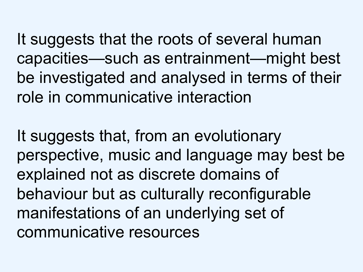It suggests that the roots of several human capacities—such as entrainment—might best be investigated and analysed in terms of their role in communicative interaction

It suggests that, from an evolutionary perspective, music and language may best be explained not as discrete domains of behaviour but as culturally reconfigurable manifestations of an underlying set of communicative resources